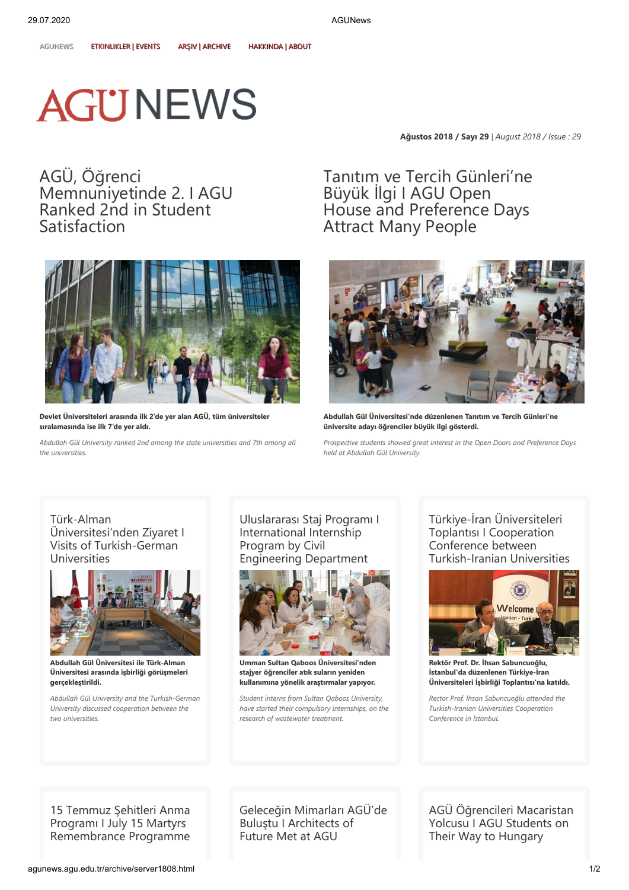## **AGUNEWS**

**Ağustos 2018 / Sayı 29** | *August 2018 / Issue : 29*

AGÜ, Öğrenci [Memnuniyetinde](http://agunews.agu.edu.tr/node/251) 2. I AGU Ranked 2nd in Student **Satisfaction** 



**Devlet Üniv Devlet Üniverersit siteler eleri arasında ilk 2' i arasında ilk 2'de y de yer alan A er alan AGÜ, tüm üniv GÜ, tüm üniverersit siteler eler sıralamasında ise ilk 7'de yer aldı.**

*Abdullah Gül University ranked 2nd among the state universities and 7th among all the universities.*

Tanıtım ve Tercih Günleri'ne Büyük İlgi [I AGU Open](http://agunews.agu.edu.tr/node/248) House and Preference Days Attract Many People



**Abdullah Gül Üniv Abdullah Gül Üniverersit sitesi'nde düzenlenen T esi'nde düzenlenen Tanıtım v anıtım ve T e Terercih Günler cih Günleri'ne i'ne üniv üniverersit site adayı öğr e adayı öğrenciler büyük ilgi göst enciler büyük ilgi göstererdi. di.**

*Prospective students showed great interest in the Open Doors and Preference Days held at Abdullah Gül University.*

Türk-Alman [Üniversitesi'nden Ziyaret I](http://agunews.agu.edu.tr/node/249) Visits of Turkish-German Universities



**Abdullah Gül Üniv Abdullah Gül Üniverersit sitesi ile T esi ile Türk ürk-Alman -Alman Üniversitesi arasında işbirliği görüşmeleri gerçekleştirildi.**

*Abdullah Gül University and the Turkish-German University discussed cooperation between the two universities.*

[Uluslararası Staj Programı I](http://agunews.agu.edu.tr/node/246) International Internship Program by Civil Engineering Department



**Umman Sultan Qaboos Üniversitesi'nden stajyer öğrenciler atık suların yeniden kullanımına yönelik araştırmalar yapıyor.**

*Student interns from Sultan Qaboos University, have started their compulsory internships, on the research of wastewater treatment.*

Türkiye-İran Üniversiteleri Toplantısı I Cooperation Conference between [Turkish-Iranian Universities](http://agunews.agu.edu.tr/node/250)



**RRekekttör Pr ör Prooff. Dr . Dr. İhsan Sabuncuoğlu, . İhsan Sabuncuoğlu, İstanbul'da düzenlenen Türkiye-İran Üniv Üniverersit siteler eleri İşbirliği T i İşbirliği Toplantısı'na katıldı. oplantısı'na katıldı.**

*Rector Prof. İhsan Sabuncuoğlu attended the Turkish-Iranian Universities Cooperation Conference in İstanbul.*

15 Temmuz Şehitleri Anma Programı I July 15 Martyrs [Remembrance Programme](http://agunews.agu.edu.tr/node/247)

[Geleceğin Mimarları AGÜ'de](http://agunews.agu.edu.tr/node/252) Buluştu I Architects of Future Met at AGU

[AGÜ Öğrencileri Macaristan](http://agunews.agu.edu.tr/node/253) Yolcusu I AGU Students on Their Way to Hungary